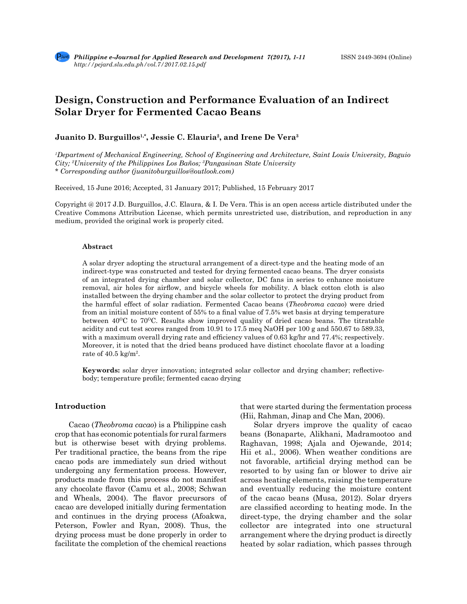# **Design, Construction and Performance Evaluation of an Indirect Solar Dryer for Fermented Cacao Beans**

# **Juanito D. Burguillos1,\*, Jessie C. Elauria2, and Irene De Vera3**

*1 Department of Mechanical Engineering, School of Engineering and Architecture, Saint Louis University, Baguio City; 2 University of the Philippines Los Baños; 3 Pangasinan State University \* Corresponding author (juanitoburguillos@outlook.com)*

Received, 15 June 2016; Accepted, 31 January 2017; Published, 15 February 2017

Copyright @ 2017 J.D. Burguillos, J.C. Elaura, & I. De Vera. This is an open access article distributed under the Creative Commons Attribution License, which permits unrestricted use, distribution, and reproduction in any medium, provided the original work is properly cited.

### **Abstract**

A solar dryer adopting the structural arrangement of a direct-type and the heating mode of an indirect-type was constructed and tested for drying fermented cacao beans. The dryer consists of an integrated drying chamber and solar collector, DC fans in series to enhance moisture removal, air holes for airflow, and bicycle wheels for mobility. A black cotton cloth is also installed between the drying chamber and the solar collector to protect the drying product from the harmful effect of solar radiation. Fermented Cacao beans (*Theobroma cacao*) were dried from an initial moisture content of 55% to a final value of 7.5% wet basis at drying temperature between  $40^{\circ}\text{C}$  to  $70^{\circ}\text{C}$ . Results show improved quality of dried cacao beans. The titratable acidity and cut test scores ranged from 10.91 to 17.5 meq NaOH per 100 g and 550.67 to 589.33, with a maximum overall drying rate and efficiency values of 0.63 kg/hr and 77.4%; respectively. Moreover, it is noted that the dried beans produced have distinct chocolate flavor at a loading rate of 40.5 kg/m<sup>2</sup>.

**Keywords:** solar dryer innovation; integrated solar collector and drying chamber; reflectivebody; temperature profile; fermented cacao drying

# **Introduction**

Cacao (*Theobroma cacao*) is a Philippine cash crop that has economic potentials for rural farmers but is otherwise beset with drying problems. Per traditional practice, the beans from the ripe cacao pods are immediately sun dried without undergoing any fermentation process. However, products made from this process do not manifest any chocolate flavor (Camu et al., 2008; Schwan and Wheals, 2004). The flavor precursors of cacao are developed initially during fermentation and continues in the drying process (Afoakwa, Peterson, Fowler and Ryan, 2008). Thus, the drying process must be done properly in order to facilitate the completion of the chemical reactions that were started during the fermentation process (Hii, Rahman, Jinap and Che Man, 2006).

Solar dryers improve the quality of cacao beans (Bonaparte, Alikhani, Madramootoo and Raghavan, 1998; Ajala and Ojewande, 2014; Hii et al., 2006). When weather conditions are not favorable, artificial drying method can be resorted to by using fan or blower to drive air across heating elements, raising the temperature and eventually reducing the moisture content of the cacao beans (Musa, 2012). Solar dryers are classified according to heating mode. In the direct-type, the drying chamber and the solar collector are integrated into one structural arrangement where the drying product is directly heated by solar radiation, which passes through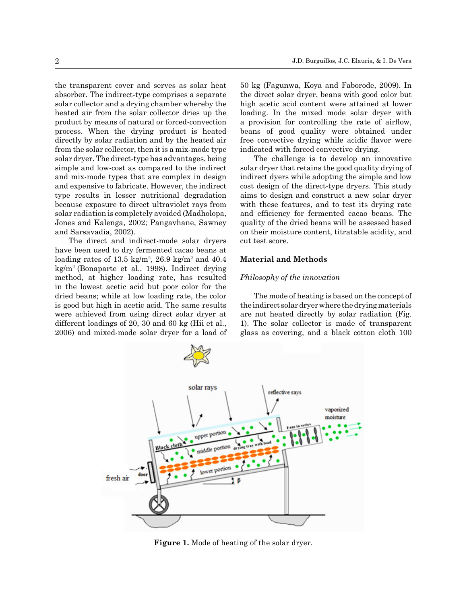the transparent cover and serves as solar heat absorber. The indirect-type comprises a separate solar collector and a drying chamber whereby the heated air from the solar collector dries up the product by means of natural or forced-convection process. When the drying product is heated directly by solar radiation and by the heated air from the solar collector, then it is a mix-mode type solar dryer. The direct-type has advantages, being simple and low-cost as compared to the indirect and mix-mode types that are complex in design and expensive to fabricate. However, the indirect type results in lesser nutritional degradation because exposure to direct ultraviolet rays from solar radiation is completely avoided (Madholopa, Jones and Kalenga, 2002; Pangavhane, Sawney and Sarsavadia, 2002).

The direct and indirect-mode solar dryers have been used to dry fermented cacao beans at loading rates of  $13.5 \text{ kg/m}^2$ ,  $26.9 \text{ kg/m}^2$  and  $40.4$ kg/m<sup>2</sup> (Bonaparte et al., 1998). Indirect drying method, at higher loading rate, has resulted in the lowest acetic acid but poor color for the dried beans; while at low loading rate, the color is good but high in acetic acid. The same results were achieved from using direct solar dryer at different loadings of 20, 30 and 60 kg (Hii et al., 2006) and mixed-mode solar dryer for a load of

50 kg (Fagunwa, Koya and Faborode, 2009). In the direct solar dryer, beans with good color but high acetic acid content were attained at lower loading. In the mixed mode solar dryer with a provision for controlling the rate of airflow, beans of good quality were obtained under free convective drying while acidic flavor were indicated with forced convective drying.

The challenge is to develop an innovative solar dryer that retains the good quality drying of indirect dyers while adopting the simple and low cost design of the direct-type dryers. This study aims to design and construct a new solar dryer with these features, and to test its drying rate and efficiency for fermented cacao beans. The quality of the dried beans will be assessed based on their moisture content, titratable acidity, and cut test score.

## **Material and Methods**

#### *Philosophy of the innovation*

The mode of heating is based on the concept of the indirect solar dryer where the drying materials are not heated directly by solar radiation (Fig. 1). The solar collector is made of transparent glass as covering, and a black cotton cloth 100



**Figure 1.** Mode of heating of the solar dryer.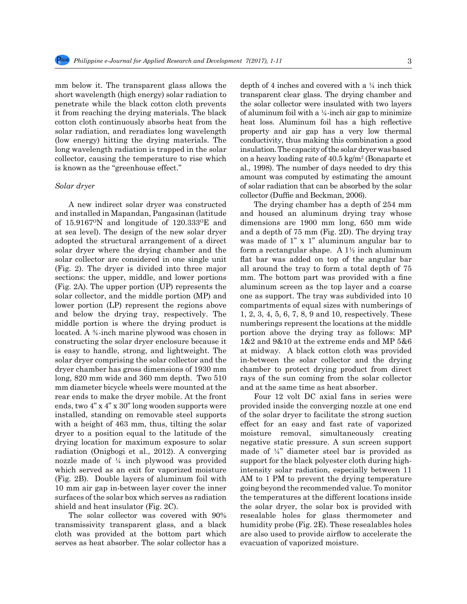mm below it. The transparent glass allows the short wavelength (high energy) solar radiation to penetrate while the black cotton cloth prevents it from reaching the drying materials. The black cotton cloth continuously absorbs heat from the solar radiation, and reradiates long wavelength (low energy) hitting the drying materials. The long wavelength radiation is trapped in the solar collector, causing the temperature to rise which is known as the "greenhouse effect."

#### *Solar dryer*

A new indirect solar dryer was constructed and installed in Mapandan, Pangasinan (latitude of  $15.9167^{\circ}$ N and longitude of  $120.333^{\circ}$ E and at sea level). The design of the new solar dryer adopted the structural arrangement of a direct solar dryer where the drying chamber and the solar collector are considered in one single unit (Fig. 2). The dryer is divided into three major sections: the upper, middle, and lower portions (Fig. 2A). The upper portion (UP) represents the solar collector, and the middle portion (MP) and lower portion (LP) represent the regions above and below the drying tray, respectively. The middle portion is where the drying product is located. A ¾-inch marine plywood was chosen in constructing the solar dryer enclosure because it is easy to handle, strong, and lightweight. The solar dryer comprising the solar collector and the dryer chamber has gross dimensions of 1930 mm long, 820 mm wide and 360 mm depth. Two 510 mm diameter bicycle wheels were mounted at the rear ends to make the dryer mobile. At the front ends, two 4" x 4" x 30" long wooden supports were installed, standing on removable steel supports with a height of 463 mm, thus, tilting the solar dryer to a position equal to the latitude of the drying location for maximum exposure to solar radiation (Onigbogi et al., 2012). A converging nozzle made of ¼ inch plywood was provided which served as an exit for vaporized moisture (Fig. 2B). Double layers of aluminum foil with 10 mm air gap in-between layer cover the inner surfaces of the solar box which serves as radiation shield and heat insulator (Fig. 2C).

The solar collector was covered with 90% transmissivity transparent glass, and a black cloth was provided at the bottom part which serves as heat absorber. The solar collector has a depth of 4 inches and covered with a ¼ inch thick transparent clear glass. The drying chamber and the solar collector were insulated with two layers of aluminum foil with a  $\frac{1}{4}$ -inch air gap to minimize heat loss. Aluminum foil has a high reflective property and air gap has a very low thermal conductivity, thus making this combination a good insulation. The capacity of the solar dryer was based on a heavy loading rate of 40.5 kg/m<sup>2</sup> (Bonaparte et al., 1998). The number of days needed to dry this amount was computed by estimating the amount of solar radiation that can be absorbed by the solar collector (Duffie and Beckman, 2006).

The drying chamber has a depth of 254 mm and housed an aluminum drying tray whose dimensions are 1900 mm long, 650 mm wide and a depth of 75 mm (Fig. 2D). The drying tray was made of 1" x 1" aluminum angular bar to form a rectangular shape. A  $1\frac{1}{2}$  inch aluminum flat bar was added on top of the angular bar all around the tray to form a total depth of 75 mm. The bottom part was provided with a fine aluminum screen as the top layer and a coarse one as support. The tray was subdivided into 10 compartments of equal sizes with numberings of 1, 2, 3, 4, 5, 6, 7, 8, 9 and 10, respectively. These numberings represent the locations at the middle portion above the drying tray as follows: MP 1&2 and 9&10 at the extreme ends and MP 5&6 at midway. A black cotton cloth was provided in-between the solar collector and the drying chamber to protect drying product from direct rays of the sun coming from the solar collector and at the same time as heat absorber.

Four 12 volt DC axial fans in series were provided inside the converging nozzle at one end of the solar dryer to facilitate the strong suction effect for an easy and fast rate of vaporized moisture removal, simultaneously creating negative static pressure. A sun screen support made of ¼" diameter steel bar is provided as support for the black polyester cloth during highintensity solar radiation, especially between 11 AM to 1 PM to prevent the drying temperature going beyond the recommended value. To monitor the temperatures at the different locations inside the solar dryer, the solar box is provided with resealable holes for glass thermometer and humidity probe (Fig. 2E). These resealables holes are also used to provide airflow to accelerate the evacuation of vaporized moisture.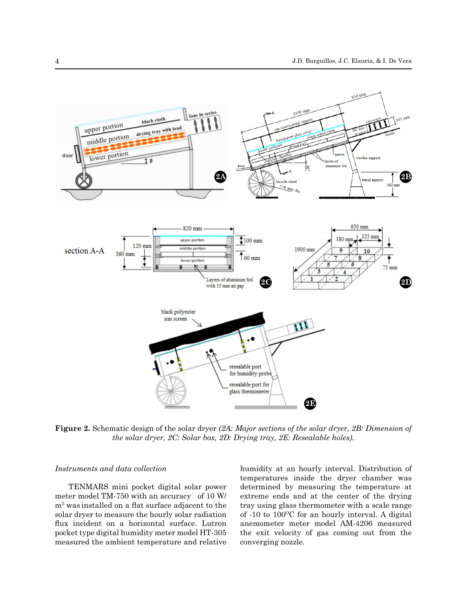

**Figure 2.** Schematic design of the solar dryer *(2A: Major sections of the solar dryer, 2B: Dimension of the solar dryer, 2C: Solar box, 2D: Drying tray, 2E: Resealable holes).* 

## *Instruments and data collection*

TENMARS mini pocket digital solar power meter model TM-750 with an accuracy of 10 W/ m2 was installed on a flat surface adjacent to the solar dryer to measure the hourly solar radiation flux incident on a horizontal surface. Lutron pocket type digital humidity meter model HT-305 measured the ambient temperature and relative

humidity at an hourly interval. Distribution of temperatures inside the dryer chamber was determined by measuring the temperature at extreme ends and at the center of the drying tray using glass thermometer with a scale range of  $-10$  to  $100^{\circ}$ C for an hourly interval. A digital anemometer meter model AM-4206 measured the exit velocity of gas coming out from the converging nozzle.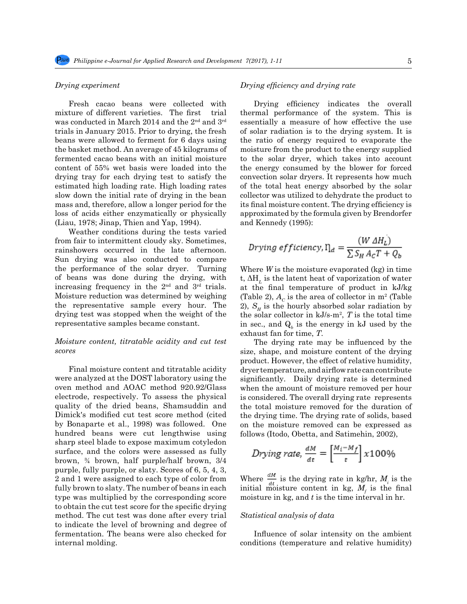## *Drying experiment*

Fresh cacao beans were collected with mixture of different varieties. The first trial was conducted in March 2014 and the 2nd and 3rd trials in January 2015. Prior to drying, the fresh beans were allowed to ferment for 6 days using the basket method. An average of 45 kilograms of fermented cacao beans with an initial moisture content of 55% wet basis were loaded into the drying tray for each drying test to satisfy the estimated high loading rate. High loading rates slow down the initial rate of drying in the bean mass and, therefore, allow a longer period for the loss of acids either enzymatically or physically (Liau, 1978; Jinap, Thien and Yap, 1994).

Weather conditions during the tests varied from fair to intermittent cloudy sky. Sometimes, rainshowers occurred in the late afternoon. Sun drying was also conducted to compare the performance of the solar dryer. Turning of beans was done during the drying, with increasing frequency in the 2nd and 3rd trials. Moisture reduction was determined by weighing the representative sample every hour. The drying test was stopped when the weight of the representative samples became constant.

# *Moisture content, titratable acidity and cut test scores*

Final moisture content and titratable acidity were analyzed at the DOST laboratory using the oven method and AOAC method 920.92/Glass electrode, respectively. To assess the physical quality of the dried beans, Shamsuddin and Dimick's modified cut test score method (cited by Bonaparte et al., 1998) was followed. One hundred beans were cut lengthwise using sharp steel blade to expose maximum cotyledon surface, and the colors were assessed as fully brown, ¾ brown, half purple/half brown, 3/4 purple, fully purple, or slaty. Scores of 6, 5, 4, 3, 2 and 1 were assigned to each type of color from fully brown to slaty. The number of beans in each type was multiplied by the corresponding score to obtain the cut test score for the specific drying method. The cut test was done after every trial to indicate the level of browning and degree of fermentation. The beans were also checked for internal molding.

## *Drying efficiency and drying rate*

Drying efficiency indicates the overall thermal performance of the system. This is essentially a measure of how effective the use of solar radiation is to the drying system. It is the ratio of energy required to evaporate the moisture from the product to the energy supplied to the solar dryer, which takes into account the energy consumed by the blower for forced convection solar dryers. It represents how much of the total heat energy absorbed by the solar collector was utilized to dehydrate the product to its final moisture content. The drying efficiency is approximated by the formula given by Brendorfer and Kennedy (1995):

$$
Drying\,efficiency, \eta_d = \frac{(W \Delta H_L)}{\sum S_H A_C T + Q_b}
$$

Where *W* is the moisture evaporated (kg) in time t,  $\Delta H_L$  is the latent heat of vaporization of water at the final temperature of product in kJ/kg (Table 2),  $A_c$  is the area of collector in  $m^2$  (Table 2),  $S<sub>H</sub>$  is the hourly absorbed solar radiation by the solar collector in kJ/s-m<sup>2</sup> , *T* is the total time in sec., and  $Q_b$  is the energy in kJ used by the exhaust fan for time, *T*.

The drying rate may be influenced by the size, shape, and moisture content of the drying product. However, the effect of relative humidity, dryer temperature, and airflow rate can contribute significantly. Daily drying rate is determined when the amount of moisture removed per hour is considered. The overall drying rate represents the total moisture removed for the duration of the drying time. The drying rate of solids, based on the moisture removed can be expressed as follows (Itodo, Obetta, and Satimehin, 2002),

$$
Drying\ rate, \frac{dM}{dt} = \left[\frac{M_i - M_f}{t}\right] x 100\%
$$

Where  $\frac{dm}{dt}$  is the drying rate in kg/hr,  $M_i$  is the initial moisture content in kg,  $M_f$  is the final moisture in kg, and *t* is the time interval in hr.

# *Statistical analysis of data*

Influence of solar intensity on the ambient conditions (temperature and relative humidity)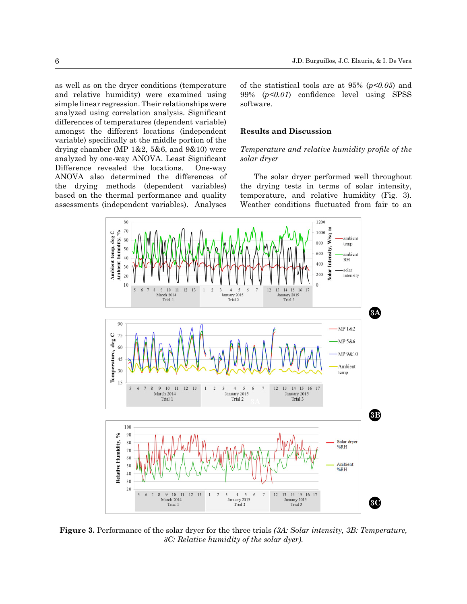as well as on the dryer conditions (temperature and relative humidity) were examined using simple linear regression. Their relationships were analyzed using correlation analysis. Significant differences of temperatures (dependent variable) amongst the different locations (independent variable) specifically at the middle portion of the drying chamber (MP 1&2, 5&6, and 9&10) were analyzed by one-way ANOVA. Least Significant Difference revealed the locations. One-way ANOVA also determined the differences of the drying methods (dependent variables) based on the thermal performance and quality assessments (independent variables). Analyses of the statistical tools are at 95% (*p<0.05*) and 99% (*p<0.01*) confidence level using SPSS software.

# **Results and Discussion**

# *Temperature and relative humidity profile of the solar dryer*

The solar dryer performed well throughout the drying tests in terms of solar intensity, temperature, and relative humidity (Fig. 3). Weather conditions fluctuated from fair to an



**Figure 3.** Performance of the solar dryer for the three trials *(3A: Solar intensity, 3B: Temperature, 3C: Relative humidity of the solar dyer).*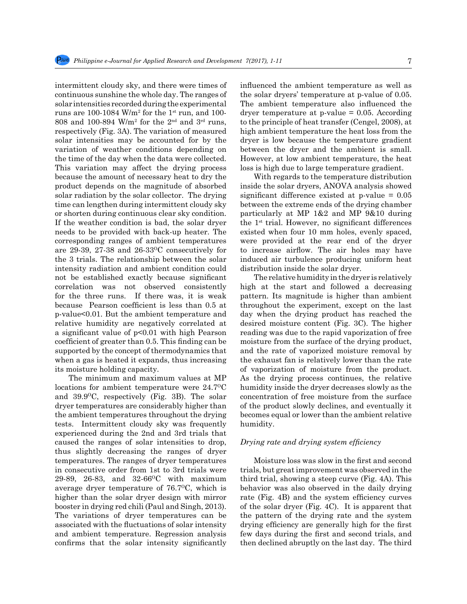intermittent cloudy sky, and there were times of continuous sunshine the whole day. The ranges of solar intensities recorded during the experimental runs are 100-1084 W/m<sup>2</sup> for the 1<sup>st</sup> run, and 100-808 and 100-894 W/m<sup>2</sup> for the 2<sup>nd</sup> and 3<sup>rd</sup> runs, respectively (Fig. 3A). The variation of measured solar intensities may be accounted for by the variation of weather conditions depending on the time of the day when the data were collected. This variation may affect the drying process because the amount of necessary heat to dry the product depends on the magnitude of absorbed solar radiation by the solar collector. The drying time can lengthen during intermittent cloudy sky or shorten during continuous clear sky condition. If the weather condition is bad, the solar dryer needs to be provided with back-up heater. The corresponding ranges of ambient temperatures are 29-39, 27-38 and  $26-33^{\circ}$ C consecutively for the 3 trials. The relationship between the solar intensity radiation and ambient condition could not be established exactly because significant correlation was not observed consistently for the three runs. If there was, it is weak because Pearson coefficient is less than 0.5 at p-value<0.01. But the ambient temperature and relative humidity are negatively correlated at a significant value of p<0.01 with high Pearson coefficient of greater than 0.5. This finding can be supported by the concept of thermodynamics that when a gas is heated it expands, thus increasing its moisture holding capacity.

The minimum and maximum values at MP locations for ambient temperature were  $24.7^{\circ}$ C and  $39.9^{\circ}$ C, respectively (Fig. 3B). The solar dryer temperatures are considerably higher than the ambient temperatures throughout the drying tests. Intermittent cloudy sky was frequently experienced during the 2nd and 3rd trials that caused the ranges of solar intensities to drop, thus slightly decreasing the ranges of dryer temperatures. The ranges of dryer temperatures in consecutive order from 1st to 3rd trials were 29-89, 26-83, and 32-66<sup>o</sup>C with maximum average dryer temperature of  $76.7^{\circ}$ C, which is higher than the solar dryer design with mirror booster in drying red chili (Paul and Singh, 2013). The variations of dryer temperatures can be associated with the fluctuations of solar intensity and ambient temperature. Regression analysis confirms that the solar intensity significantly influenced the ambient temperature as well as the solar dryers' temperature at p-value of 0.05. The ambient temperature also influenced the dryer temperature at  $p$ -value = 0.05. According to the principle of heat transfer (Cengel, 2008), at high ambient temperature the heat loss from the dryer is low because the temperature gradient between the dryer and the ambient is small. However, at low ambient temperature, the heat loss is high due to large temperature gradient.

With regards to the temperature distribution inside the solar dryers, ANOVA analysis showed significant difference existed at  $p$ -value =  $0.05$ between the extreme ends of the drying chamber particularly at MP 1&2 and MP 9&10 during the  $1<sup>st</sup>$  trial. However, no significant differences existed when four 10 mm holes, evenly spaced, were provided at the rear end of the dryer to increase airflow. The air holes may have induced air turbulence producing uniform heat distribution inside the solar dryer.

The relative humidity in the dryer is relatively high at the start and followed a decreasing pattern. Its magnitude is higher than ambient throughout the experiment, except on the last day when the drying product has reached the desired moisture content (Fig. 3C). The higher reading was due to the rapid vaporization of free moisture from the surface of the drying product, and the rate of vaporized moisture removal by the exhaust fan is relatively lower than the rate of vaporization of moisture from the product. As the drying process continues, the relative humidity inside the dryer decreases slowly as the concentration of free moisture from the surface of the product slowly declines, and eventually it becomes equal or lower than the ambient relative humidity.

#### *Drying rate and drying system efficiency*

Moisture loss was slow in the first and second trials, but great improvement was observed in the third trial, showing a steep curve (Fig. 4A). This behavior was also observed in the daily drying rate (Fig. 4B) and the system efficiency curves of the solar dryer (Fig. 4C). It is apparent that the pattern of the drying rate and the system drying efficiency are generally high for the first few days during the first and second trials, and then declined abruptly on the last day. The third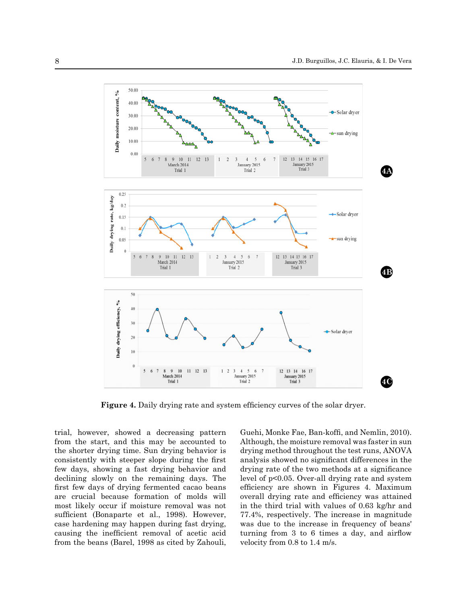

**Figure 4.** Daily drying rate and system efficiency curves of the solar dryer.

trial, however, showed a decreasing pattern from the start, and this may be accounted to the shorter drying time. Sun drying behavior is consistently with steeper slope during the first few days, showing a fast drying behavior and declining slowly on the remaining days. The first few days of drying fermented cacao beans are crucial because formation of molds will most likely occur if moisture removal was not sufficient (Bonaparte et al., 1998). However, case hardening may happen during fast drying, causing the inefficient removal of acetic acid from the beans (Barel, 1998 as cited by Zahouli, Guehi, Monke Fae, Ban-koffi, and Nemlin, 2010). Although, the moisture removal was faster in sun drying method throughout the test runs, ANOVA analysis showed no significant differences in the drying rate of the two methods at a significance level of p<0.05. Over-all drying rate and system efficiency are shown in Figures 4. Maximum overall drying rate and efficiency was attained in the third trial with values of 0.63 kg/hr and 77.4%, respectively. The increase in magnitude was due to the increase in frequency of beans' turning from 3 to 6 times a day, and airflow velocity from 0.8 to 1.4 m/s.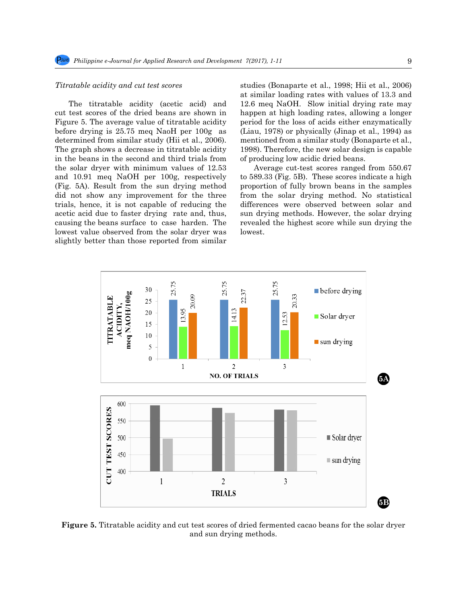#### *Titratable acidity and cut test scores*

The titratable acidity (acetic acid) and cut test scores of the dried beans are shown in Figure 5. The average value of titratable acidity before drying is 25.75 meq NaoH per 100g as determined from similar study (Hii et al., 2006). The graph shows a decrease in titratable acidity in the beans in the second and third trials from the solar dryer with minimum values of 12.53 and 10.91 meq NaOH per 100g, respectively (Fig. 5A). Result from the sun drying method did not show any improvement for the three trials, hence, it is not capable of reducing the acetic acid due to faster drying rate and, thus, causing the beans surface to case harden. The lowest value observed from the solar dryer was slightly better than those reported from similar studies (Bonaparte et al., 1998; Hii et al., 2006) at similar loading rates with values of 13.3 and 12.6 meq NaOH. Slow initial drying rate may happen at high loading rates, allowing a longer period for the loss of acids either enzymatically (Liau, 1978) or physically (Jinap et al., 1994) as mentioned from a similar study (Bonaparte et al., 1998). Therefore, the new solar design is capable of producing low acidic dried beans.

Average cut-test scores ranged from 550.67 to 589.33 (Fig. 5B). These scores indicate a high proportion of fully brown beans in the samples from the solar drying method. No statistical differences were observed between solar and sun drying methods. However, the solar drying revealed the highest score while sun drying the lowest.



**Figure 5.** Titratable acidity and cut test scores of dried fermented cacao beans for the solar dryer and sun drying methods.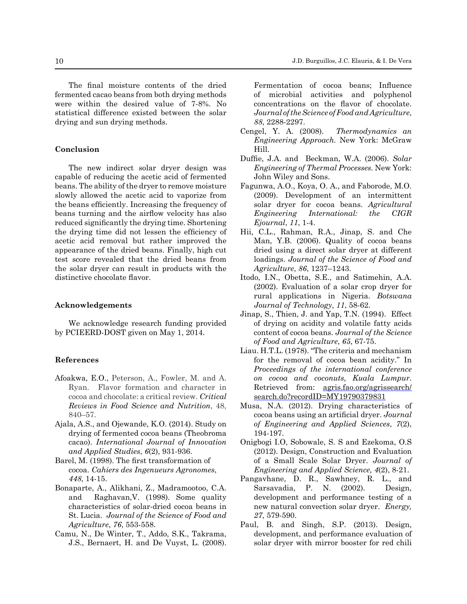The final moisture contents of the dried fermented cacao beans from both drying methods were within the desired value of 7-8%. No statistical difference existed between the solar drying and sun drying methods.

## **Conclusion**

The new indirect solar dryer design was capable of reducing the acetic acid of fermented beans. The ability of the dryer to remove moisture slowly allowed the acetic acid to vaporize from the beans efficiently. Increasing the frequency of beans turning and the airflow velocity has also reduced significantly the drying time. Shortening the drying time did not lessen the efficiency of acetic acid removal but rather improved the appearance of the dried beans. Finally, high cut test score revealed that the dried beans from the solar dryer can result in products with the distinctive chocolate flavor.

# **Acknowledgements**

We acknowledge research funding provided by PCIEERD-DOST given on May 1, 2014.

## **References**

- Afoakwa, E.O., Peterson, A., Fowler, M. and A. Ryan. Flavor formation and character in cocoa and chocolate: a critical review. *Critical Reviews in Food Science and Nutrition*, 48, 840–57.
- Ajala, A.S., and Ojewande, K.O. (2014). Study on drying of fermented cocoa beans (Theobroma cacao). *International Journal of Innovation and Applied Studies*, *6*(2), 931-936.
- Barel, M. (1998). The first transformation of cocoa. *Cahiers des Ingenueurs Agronomes*, *448*, 14-15.
- Bonaparte, A., Alikhani, Z., Madramootoo, C.A. and Raghavan,V. (1998). Some quality characteristics of solar-dried cocoa beans in St. Lucia. *Journal of the Science of Food and Agriculture*, *76*, 553-558.
- Camu, N., De Winter, T., Addo, S.K., Takrama, J.S., Bernaert, H. and De Vuyst, L. (2008).

Fermentation of cocoa beans; Influence of microbial activities and polyphenol concentrations on the flavor of chocolate. *Journal of the Science of Food and Agriculture*, *88*, 2288-2297.

- Cengel, Y. A. (2008). *Thermodynamics an Engineering Approach.* New York: McGraw Hill.
- Duffie, J.A. and Beckman, W.A. (2006). *Solar Engineering of Thermal Processes.* New York: John Wiley and Sons.
- Fagunwa, A.O., Koya, O. A., and Faborode, M.O. (2009). Development of an intermittent solar dryer for cocoa beans. *Agricultural Engineering International: the CIGR Ejournal*, *11*, 1-4.
- Hii, C.L., Rahman, R.A., Jinap, S. and Che Man, Y.B. (2006). Quality of cocoa beans dried using a direct solar dryer at different loadings. *Journal of the Science of Food and Agriculture*, *86*, 1237–1243.
- Itodo, I.N., Obetta, S.E., and Satimehin, A.A. (2002). Evaluation of a solar crop dryer for rural applications in Nigeria. *Botswana Journal of Technology*, *11*, 58-62.
- Jinap, S., Thien, J. and Yap, T.N. (1994). Effect of drying on acidity and volatile fatty acids content of cocoa beans. *Journal of the Science of Food and Agriculture*, *65*, 67-75.
- Liau. H.T.L. (1978). "The criteria and mechanism for the removal of cocoa bean acidity." In *Proceedings of the international conference on cocoa and coconuts, Kuala Lumpur*. Retrieved from: <u>[agris.fao.org/agrissearch/](http://agris.fao.org/agris-search/search.do?recordID=MY19790379831)</u> [search.do?recordID=MY19790379831](http://agris.fao.org/agris-search/search.do?recordID=MY19790379831)
- Musa, N.A. (2012). Drying characteristics of cocoa beans using an artificial dryer. *Journal of Engineering and Applied Sciences*, *7*(2), 194-197.
- Onigbogi I.O, Sobowale, S. S and Ezekoma, O.S (2012). Design, Construction and Evaluation of a Small Scale Solar Dryer. *Journal of Engineering and Applied Science, 4*(2), 8-21.
- Pangavhane, D. R., Sawhney, R. L., and Sarsavadia, P. N. (2002). Design, development and performance testing of a new natural convection solar dryer. *Energy, 27*, 579-590.
- Paul, B. and Singh, S.P. (2013). Design, development, and performance evaluation of solar dryer with mirror booster for red chili